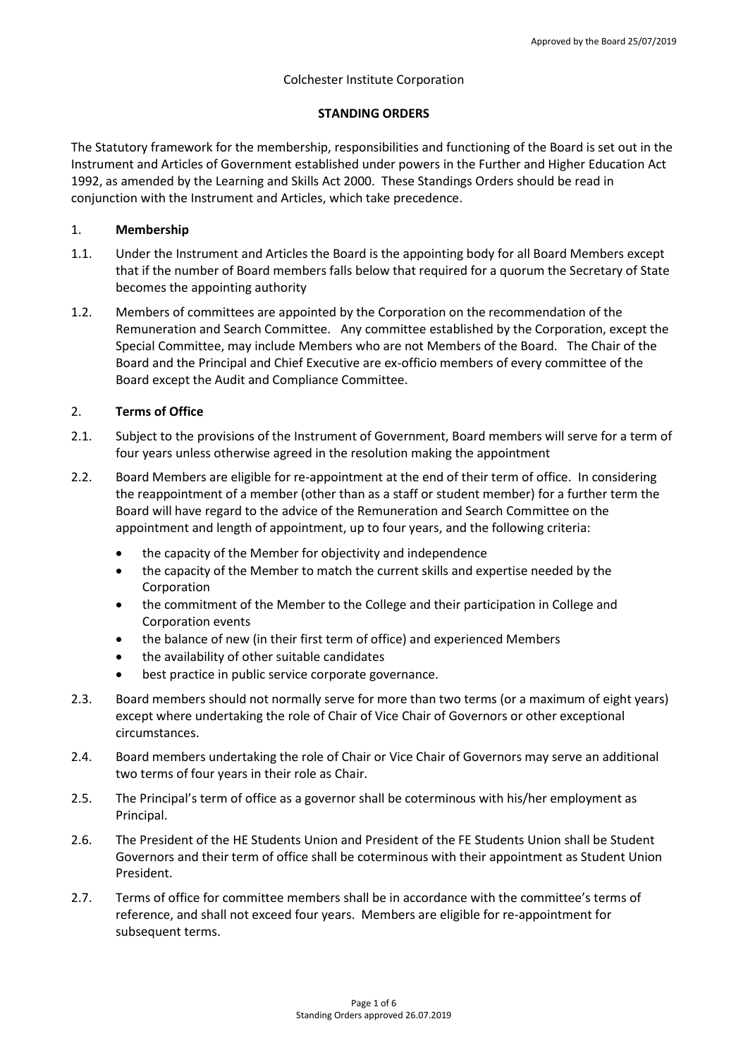## Colchester Institute Corporation

## **STANDING ORDERS**

The Statutory framework for the membership, responsibilities and functioning of the Board is set out in the Instrument and Articles of Government established under powers in the Further and Higher Education Act 1992, as amended by the Learning and Skills Act 2000. These Standings Orders should be read in conjunction with the Instrument and Articles, which take precedence.

## 1. **Membership**

- 1.1. Under the Instrument and Articles the Board is the appointing body for all Board Members except that if the number of Board members falls below that required for a quorum the Secretary of State becomes the appointing authority
- 1.2. Members of committees are appointed by the Corporation on the recommendation of the Remuneration and Search Committee. Any committee established by the Corporation, except the Special Committee, may include Members who are not Members of the Board. The Chair of the Board and the Principal and Chief Executive are ex-officio members of every committee of the Board except the Audit and Compliance Committee.

## 2. **Terms of Office**

- 2.1. Subject to the provisions of the Instrument of Government, Board members will serve for a term of four years unless otherwise agreed in the resolution making the appointment
- 2.2. Board Members are eligible for re-appointment at the end of their term of office. In considering the reappointment of a member (other than as a staff or student member) for a further term the Board will have regard to the advice of the Remuneration and Search Committee on the appointment and length of appointment, up to four years, and the following criteria:
	- the capacity of the Member for objectivity and independence
	- the capacity of the Member to match the current skills and expertise needed by the Corporation
	- the commitment of the Member to the College and their participation in College and Corporation events
	- the balance of new (in their first term of office) and experienced Members
	- the availability of other suitable candidates
	- best practice in public service corporate governance.
- 2.3. Board members should not normally serve for more than two terms (or a maximum of eight years) except where undertaking the role of Chair of Vice Chair of Governors or other exceptional circumstances.
- 2.4. Board members undertaking the role of Chair or Vice Chair of Governors may serve an additional two terms of four years in their role as Chair.
- 2.5. The Principal's term of office as a governor shall be coterminous with his/her employment as Principal.
- 2.6. The President of the HE Students Union and President of the FE Students Union shall be Student Governors and their term of office shall be coterminous with their appointment as Student Union President.
- 2.7. Terms of office for committee members shall be in accordance with the committee's terms of reference, and shall not exceed four years. Members are eligible for re-appointment for subsequent terms.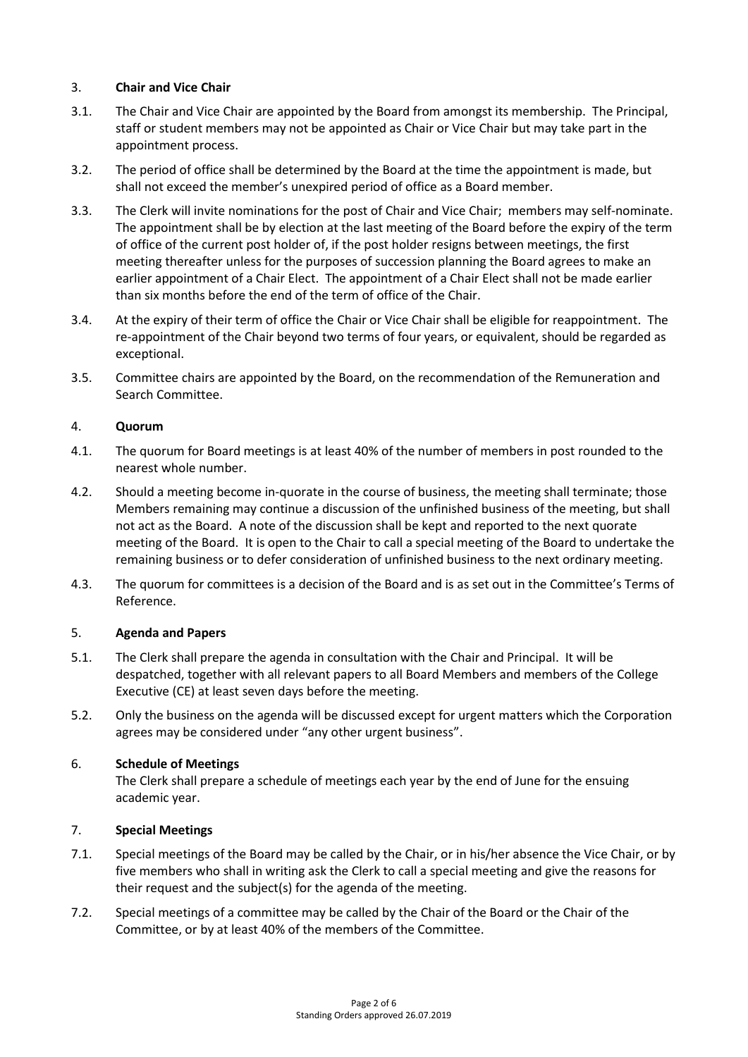# 3. **Chair and Vice Chair**

- 3.1. The Chair and Vice Chair are appointed by the Board from amongst its membership. The Principal, staff or student members may not be appointed as Chair or Vice Chair but may take part in the appointment process.
- 3.2. The period of office shall be determined by the Board at the time the appointment is made, but shall not exceed the member's unexpired period of office as a Board member.
- 3.3. The Clerk will invite nominations for the post of Chair and Vice Chair; members may self-nominate. The appointment shall be by election at the last meeting of the Board before the expiry of the term of office of the current post holder of, if the post holder resigns between meetings, the first meeting thereafter unless for the purposes of succession planning the Board agrees to make an earlier appointment of a Chair Elect. The appointment of a Chair Elect shall not be made earlier than six months before the end of the term of office of the Chair.
- 3.4. At the expiry of their term of office the Chair or Vice Chair shall be eligible for reappointment. The re-appointment of the Chair beyond two terms of four years, or equivalent, should be regarded as exceptional.
- 3.5. Committee chairs are appointed by the Board, on the recommendation of the Remuneration and Search Committee.

# 4. **Quorum**

- 4.1. The quorum for Board meetings is at least 40% of the number of members in post rounded to the nearest whole number.
- 4.2. Should a meeting become in-quorate in the course of business, the meeting shall terminate; those Members remaining may continue a discussion of the unfinished business of the meeting, but shall not act as the Board. A note of the discussion shall be kept and reported to the next quorate meeting of the Board. It is open to the Chair to call a special meeting of the Board to undertake the remaining business or to defer consideration of unfinished business to the next ordinary meeting.
- 4.3. The quorum for committees is a decision of the Board and is as set out in the Committee's Terms of Reference.

## 5. **Agenda and Papers**

- 5.1. The Clerk shall prepare the agenda in consultation with the Chair and Principal. It will be despatched, together with all relevant papers to all Board Members and members of the College Executive (CE) at least seven days before the meeting.
- 5.2. Only the business on the agenda will be discussed except for urgent matters which the Corporation agrees may be considered under "any other urgent business".

## 6. **Schedule of Meetings**

The Clerk shall prepare a schedule of meetings each year by the end of June for the ensuing academic year.

# 7. **Special Meetings**

- 7.1. Special meetings of the Board may be called by the Chair, or in his/her absence the Vice Chair, or by five members who shall in writing ask the Clerk to call a special meeting and give the reasons for their request and the subject(s) for the agenda of the meeting.
- 7.2. Special meetings of a committee may be called by the Chair of the Board or the Chair of the Committee, or by at least 40% of the members of the Committee.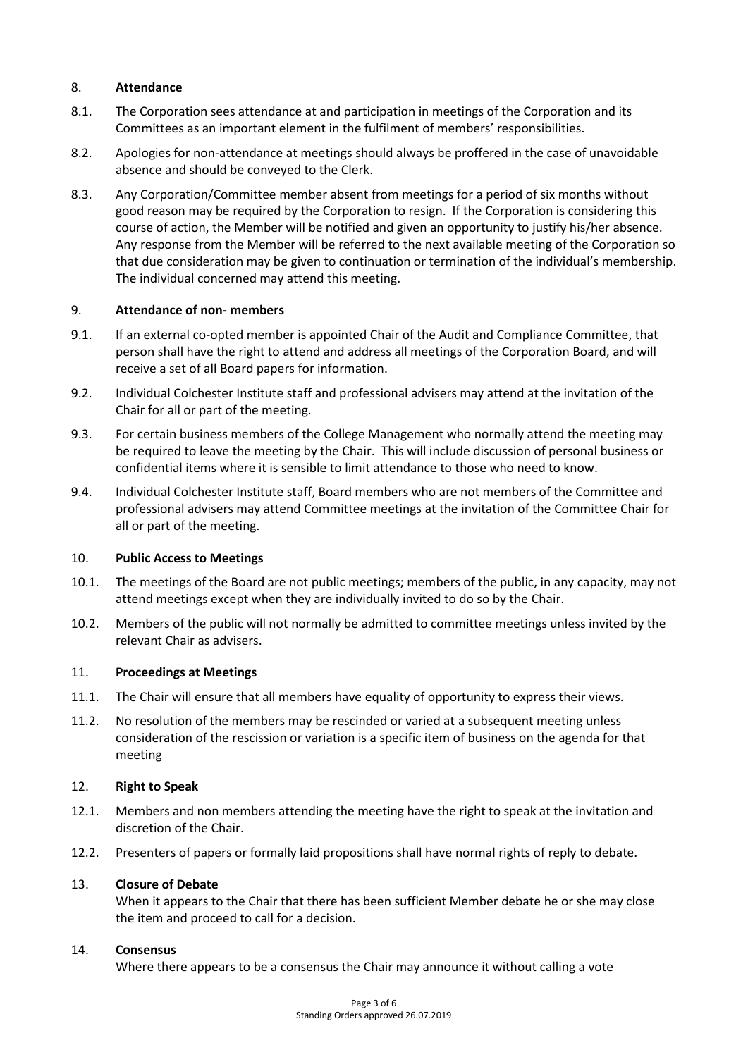## 8. **Attendance**

- 8.1. The Corporation sees attendance at and participation in meetings of the Corporation and its Committees as an important element in the fulfilment of members' responsibilities.
- 8.2. Apologies for non-attendance at meetings should always be proffered in the case of unavoidable absence and should be conveyed to the Clerk.
- 8.3. Any Corporation/Committee member absent from meetings for a period of six months without good reason may be required by the Corporation to resign. If the Corporation is considering this course of action, the Member will be notified and given an opportunity to justify his/her absence. Any response from the Member will be referred to the next available meeting of the Corporation so that due consideration may be given to continuation or termination of the individual's membership. The individual concerned may attend this meeting.

## 9. **Attendance of non- members**

- 9.1. If an external co-opted member is appointed Chair of the Audit and Compliance Committee, that person shall have the right to attend and address all meetings of the Corporation Board, and will receive a set of all Board papers for information.
- 9.2. Individual Colchester Institute staff and professional advisers may attend at the invitation of the Chair for all or part of the meeting.
- 9.3. For certain business members of the College Management who normally attend the meeting may be required to leave the meeting by the Chair. This will include discussion of personal business or confidential items where it is sensible to limit attendance to those who need to know.
- 9.4. Individual Colchester Institute staff, Board members who are not members of the Committee and professional advisers may attend Committee meetings at the invitation of the Committee Chair for all or part of the meeting.

## 10. **Public Access to Meetings**

- 10.1. The meetings of the Board are not public meetings; members of the public, in any capacity, may not attend meetings except when they are individually invited to do so by the Chair.
- 10.2. Members of the public will not normally be admitted to committee meetings unless invited by the relevant Chair as advisers.

## 11. **Proceedings at Meetings**

- 11.1. The Chair will ensure that all members have equality of opportunity to express their views.
- 11.2. No resolution of the members may be rescinded or varied at a subsequent meeting unless consideration of the rescission or variation is a specific item of business on the agenda for that meeting

## 12. **Right to Speak**

- 12.1. Members and non members attending the meeting have the right to speak at the invitation and discretion of the Chair.
- 12.2. Presenters of papers or formally laid propositions shall have normal rights of reply to debate.

## 13. **Closure of Debate**

When it appears to the Chair that there has been sufficient Member debate he or she may close the item and proceed to call for a decision.

## 14. **Consensus**

Where there appears to be a consensus the Chair may announce it without calling a vote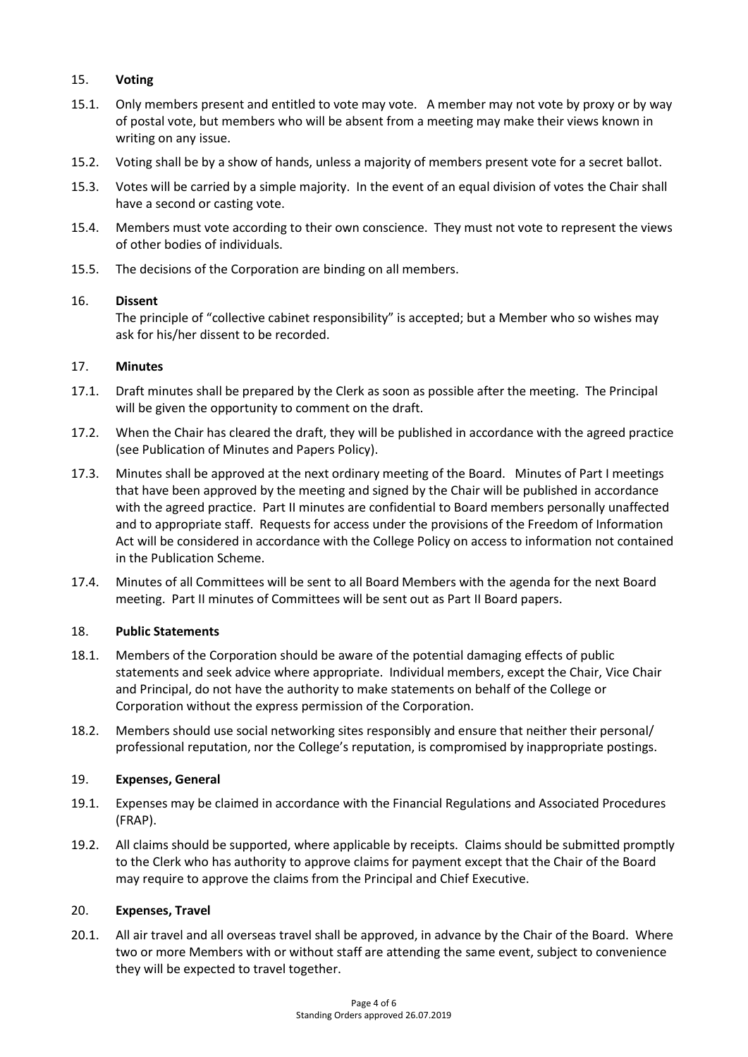# 15. **Voting**

- 15.1. Only members present and entitled to vote may vote. A member may not vote by proxy or by way of postal vote, but members who will be absent from a meeting may make their views known in writing on any issue.
- 15.2. Voting shall be by a show of hands, unless a majority of members present vote for a secret ballot.
- 15.3. Votes will be carried by a simple majority. In the event of an equal division of votes the Chair shall have a second or casting vote.
- 15.4. Members must vote according to their own conscience. They must not vote to represent the views of other bodies of individuals.
- 15.5. The decisions of the Corporation are binding on all members.

# 16. **Dissent**

The principle of "collective cabinet responsibility" is accepted; but a Member who so wishes may ask for his/her dissent to be recorded.

# 17. **Minutes**

- 17.1. Draft minutes shall be prepared by the Clerk as soon as possible after the meeting. The Principal will be given the opportunity to comment on the draft.
- 17.2. When the Chair has cleared the draft, they will be published in accordance with the agreed practice (see Publication of Minutes and Papers Policy).
- 17.3. Minutes shall be approved at the next ordinary meeting of the Board. Minutes of Part I meetings that have been approved by the meeting and signed by the Chair will be published in accordance with the agreed practice. Part II minutes are confidential to Board members personally unaffected and to appropriate staff. Requests for access under the provisions of the Freedom of Information Act will be considered in accordance with the College Policy on access to information not contained in the Publication Scheme.
- 17.4. Minutes of all Committees will be sent to all Board Members with the agenda for the next Board meeting. Part II minutes of Committees will be sent out as Part II Board papers.

## 18. **Public Statements**

- 18.1. Members of the Corporation should be aware of the potential damaging effects of public statements and seek advice where appropriate. Individual members, except the Chair, Vice Chair and Principal, do not have the authority to make statements on behalf of the College or Corporation without the express permission of the Corporation.
- 18.2. Members should use social networking sites responsibly and ensure that neither their personal/ professional reputation, nor the College's reputation, is compromised by inappropriate postings.

## 19. **Expenses, General**

- 19.1. Expenses may be claimed in accordance with the Financial Regulations and Associated Procedures (FRAP).
- 19.2. All claims should be supported, where applicable by receipts. Claims should be submitted promptly to the Clerk who has authority to approve claims for payment except that the Chair of the Board may require to approve the claims from the Principal and Chief Executive.

## 20. **Expenses, Travel**

20.1. All air travel and all overseas travel shall be approved, in advance by the Chair of the Board. Where two or more Members with or without staff are attending the same event, subject to convenience they will be expected to travel together.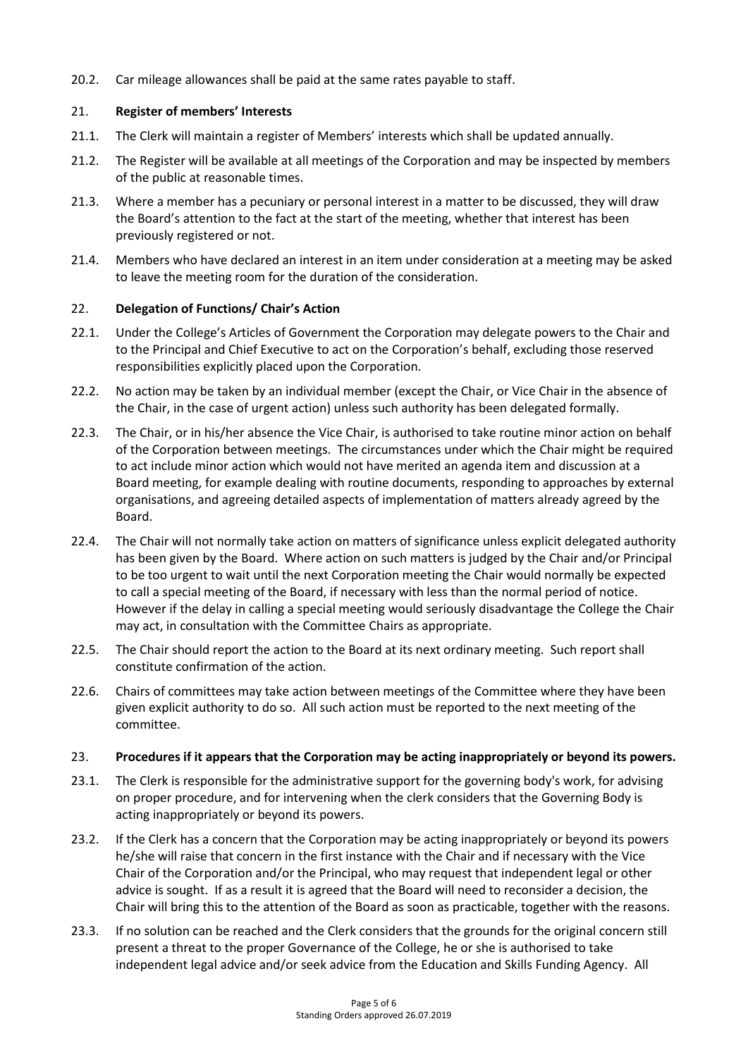20.2. Car mileage allowances shall be paid at the same rates payable to staff.

# 21. **Register of members' Interests**

- 21.1. The Clerk will maintain a register of Members' interests which shall be updated annually.
- 21.2. The Register will be available at all meetings of the Corporation and may be inspected by members of the public at reasonable times.
- 21.3. Where a member has a pecuniary or personal interest in a matter to be discussed, they will draw the Board's attention to the fact at the start of the meeting, whether that interest has been previously registered or not.
- 21.4. Members who have declared an interest in an item under consideration at a meeting may be asked to leave the meeting room for the duration of the consideration.

# 22. **Delegation of Functions/ Chair's Action**

- 22.1. Under the College's Articles of Government the Corporation may delegate powers to the Chair and to the Principal and Chief Executive to act on the Corporation's behalf, excluding those reserved responsibilities explicitly placed upon the Corporation.
- 22.2. No action may be taken by an individual member (except the Chair, or Vice Chair in the absence of the Chair, in the case of urgent action) unless such authority has been delegated formally.
- 22.3. The Chair, or in his/her absence the Vice Chair, is authorised to take routine minor action on behalf of the Corporation between meetings. The circumstances under which the Chair might be required to act include minor action which would not have merited an agenda item and discussion at a Board meeting, for example dealing with routine documents, responding to approaches by external organisations, and agreeing detailed aspects of implementation of matters already agreed by the Board.
- 22.4. The Chair will not normally take action on matters of significance unless explicit delegated authority has been given by the Board. Where action on such matters is judged by the Chair and/or Principal to be too urgent to wait until the next Corporation meeting the Chair would normally be expected to call a special meeting of the Board, if necessary with less than the normal period of notice. However if the delay in calling a special meeting would seriously disadvantage the College the Chair may act, in consultation with the Committee Chairs as appropriate.
- 22.5. The Chair should report the action to the Board at its next ordinary meeting. Such report shall constitute confirmation of the action.
- 22.6. Chairs of committees may take action between meetings of the Committee where they have been given explicit authority to do so. All such action must be reported to the next meeting of the committee.

## 23. **Procedures if it appears that the Corporation may be acting inappropriately or beyond its powers.**

- 23.1. The Clerk is responsible for the administrative support for the governing body's work, for advising on proper procedure, and for intervening when the clerk considers that the Governing Body is acting inappropriately or beyond its powers.
- 23.2. If the Clerk has a concern that the Corporation may be acting inappropriately or beyond its powers he/she will raise that concern in the first instance with the Chair and if necessary with the Vice Chair of the Corporation and/or the Principal, who may request that independent legal or other advice is sought. If as a result it is agreed that the Board will need to reconsider a decision, the Chair will bring this to the attention of the Board as soon as practicable, together with the reasons.
- 23.3. If no solution can be reached and the Clerk considers that the grounds for the original concern still present a threat to the proper Governance of the College, he or she is authorised to take independent legal advice and/or seek advice from the Education and Skills Funding Agency. All